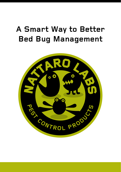# **A Smart Way to Better Bed Bug Management**

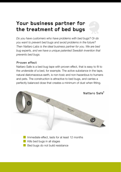### Your business partner for the treatment of bed bugs

Do you have customers who have problems with bed bugs? Or do you want to prevent bed bugs and avoid problems in the future? Then Nattaro Labs is the ideal business partner for you. We are bed bug experts, and we have a unique patented Swedish invention that prevents bed bugs.

#### Proven effect

Nattaro Safe is a bed bug tape with proven effect, that is easy to fit to the underside of a bed, for example. The active substance in the tape. natural diatomaceous earth, is non-toxic and non-hazardous to humans and pets. The construction is attractive to bed bugs, and carries a perfectly balanced dose that creates a minimum of dust when fitting.





Immediate effect. lasts for at least 12 months Kills bed bugs in all stages

Bed bugs do not build resistance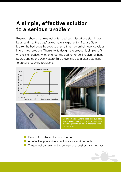### **A simple, effective solution to a serious problem**

Research shows that nine out of ten bed bug infestations start in our beds, and that the bugs' growth rate is exponential. Nattaro Safe breaks the bed bug's lifecycle to ensure that their arrival never develops into a major problem. Thanks to its design, the product is simple to fit where it is needed, whether under the bed, on or behind skirting, headboards and so on. Use Nattaro Safe preventively and after treatment to prevent recurring problems.







By fitting Nattaro Safe to beds, bed bug population development is cut off, thus controlling a bed bug infestation before it reaches exponential growth.

Easy to fit under and around the bed An effective preventive shield in at-risk environments The perfect complement to conventional pest control methods